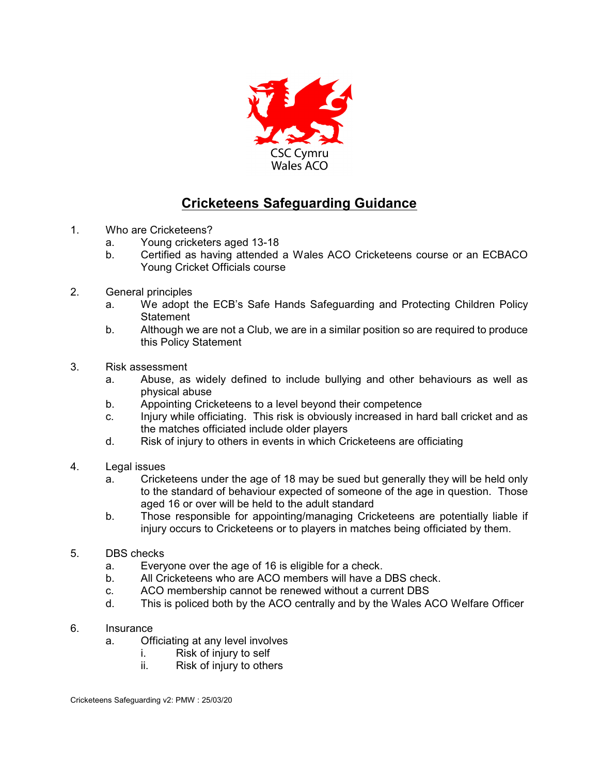

## **Cricketeens Safeguarding Guidance**

- 1. Who are Cricketeens?
	- a. Young cricketers aged 13-18
	- b. Certified as having attended a Wales ACO Cricketeens course or an ECBACO Young Cricket Officials course
- 2. General principles
	- a. We adopt the ECB's Safe Hands Safeguarding and Protecting Children Policy **Statement**
	- b. Although we are not a Club, we are in a similar position so are required to produce this Policy Statement
- 3. Risk assessment
	- a. Abuse, as widely defined to include bullying and other behaviours as well as physical abuse
	- b. Appointing Cricketeens to a level beyond their competence
	- c. Injury while officiating. This risk is obviously increased in hard ball cricket and as the matches officiated include older players
	- d. Risk of injury to others in events in which Cricketeens are officiating
- 4. Legal issues
	- a. Cricketeens under the age of 18 may be sued but generally they will be held only to the standard of behaviour expected of someone of the age in question. Those aged 16 or over will be held to the adult standard
	- b. Those responsible for appointing/managing Cricketeens are potentially liable if injury occurs to Cricketeens or to players in matches being officiated by them.
- 5. DBS checks
	- a. Everyone over the age of 16 is eligible for a check.
	- b. All Cricketeens who are ACO members will have a DBS check.
	- c. ACO membership cannot be renewed without a current DBS
	- d. This is policed both by the ACO centrally and by the Wales ACO Welfare Officer
- 6. Insurance
	- a. Officiating at any level involves
		- i. Risk of injury to self
		- ii. Risk of injury to others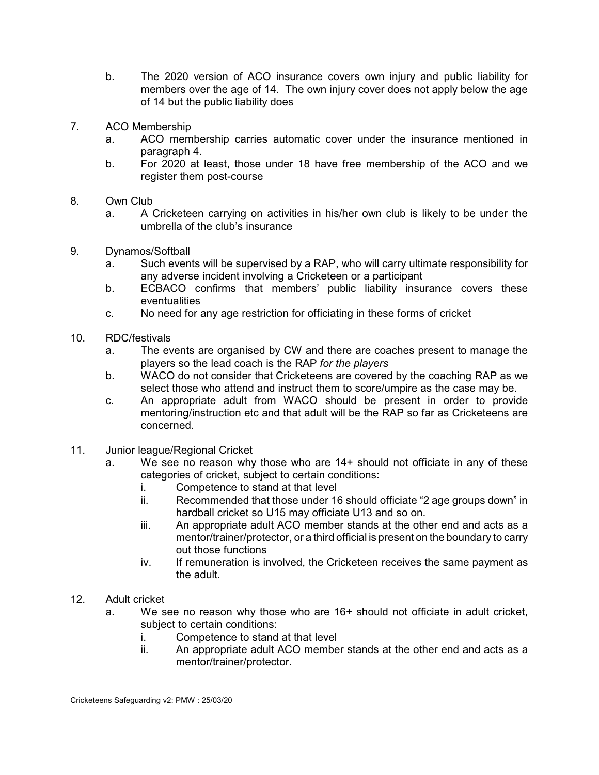- b. The 2020 version of ACO insurance covers own injury and public liability for members over the age of 14. The own injury cover does not apply below the age of 14 but the public liability does
- 7. ACO Membership
	- a. ACO membership carries automatic cover under the insurance mentioned in paragraph 4.
	- b. For 2020 at least, those under 18 have free membership of the ACO and we register them post-course
- 8. Own Club
	- a. A Cricketeen carrying on activities in his/her own club is likely to be under the umbrella of the club's insurance
- 9. Dynamos/Softball
	- a. Such events will be supervised by a RAP, who will carry ultimate responsibility for any adverse incident involving a Cricketeen or a participant
	- b. ECBACO confirms that members' public liability insurance covers these eventualities
	- c. No need for any age restriction for officiating in these forms of cricket
- 10. RDC/festivals
	- a. The events are organised by CW and there are coaches present to manage the players so the lead coach is the RAP *for the players*
	- b. WACO do not consider that Cricketeens are covered by the coaching RAP as we select those who attend and instruct them to score/umpire as the case may be.
	- c. An appropriate adult from WACO should be present in order to provide mentoring/instruction etc and that adult will be the RAP so far as Cricketeens are concerned.
- 11. Junior league/Regional Cricket
	- a. We see no reason why those who are 14+ should not officiate in any of these categories of cricket, subject to certain conditions:
		- i. Competence to stand at that level
		- ii. Recommended that those under 16 should officiate "2 age groups down" in hardball cricket so U15 may officiate U13 and so on.
		- iii. An appropriate adult ACO member stands at the other end and acts as a mentor/trainer/protector, or a third official is present on the boundary to carry out those functions
		- iv. If remuneration is involved, the Cricketeen receives the same payment as the adult.
- 12. Adult cricket
	- a. We see no reason why those who are 16+ should not officiate in adult cricket, subject to certain conditions:
		- i. Competence to stand at that level
		- ii. An appropriate adult ACO member stands at the other end and acts as a mentor/trainer/protector.